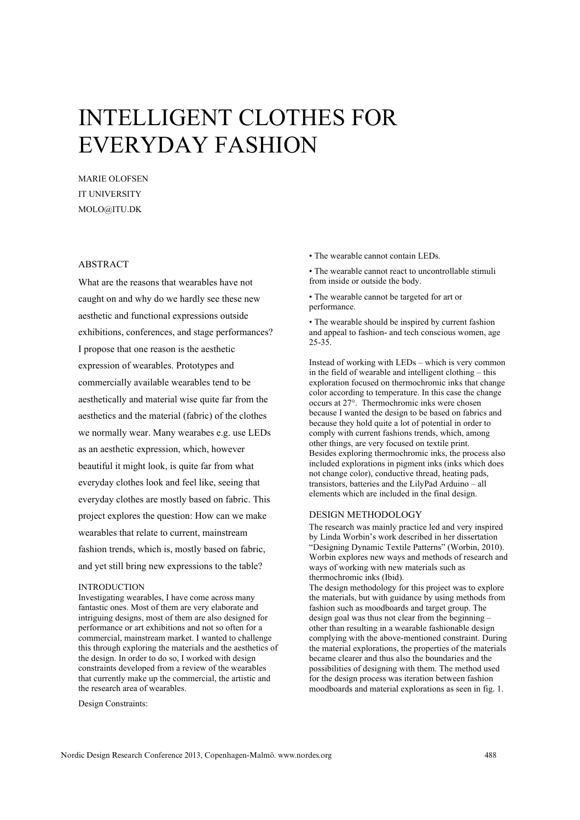# INTELLIGENT CLOTHES FOR EVERYDAY FASHION

MARIE OLOFSEN IT UNIVERSITY MOLO@ITU.DK

## ABSTRACT

What are the reasons that wearables have not caught on and why do we hardly see these new aesthetic and functional expressions outside exhibitions, conferences, and stage performances? I propose that one reason is the aesthetic expression of wearables. Prototypes and commercially available wearables tend to be aesthetically and material wise quite far from the aesthetics and the material (fabric) of the clothes we normally wear. Many wearabes e.g. use LEDs as an aesthetic expression, which, however beautiful it might look, is quite far from what everyday clothes look and feel like, seeing that everyday clothes are mostly based on fabric. This project explores the question: How can we make wearables that relate to current, mainstream fashion trends, which is, mostly based on fabric, and yet still bring new expressions to the table?

#### INTRODUCTION

Investigating wearables, I have come across many fantastic ones. Most of them are very elaborate and intriguing designs, most of them are also designed for performance or art exhibitions and not so often for a commercial, mainstream market. I wanted to challenge this through exploring the materials and the aesthetics of the design. In order to do so, I worked with design constraints developed from a review of the wearables that currently make up the commercial, the artistic and the research area of wearables.

Design Constraints:

• The wearable cannot contain LEDs

• The wearable cannot react to uncontrollable stimuli from inside or outside the body.

• The wearable cannot be targeted for art or performance.

• The wearable should be inspired by current fashion and appeal to fashion- and tech conscious women, age 25-35.

Instead of working with LEDs – which is very common in the field of wearable and intelligent clothing – this exploration focused on thermochromic inks that change color according to temperature. In this case the change occurs at 27°. Thermochromic inks were chosen because I wanted the design to be based on fabrics and because they hold quite a lot of potential in order to comply with current fashions trends, which, among other things, are very focused on textile print. Besides exploring thermochromic inks, the process also included explorations in pigment inks (inks which does not change color), conductive thread, heating pads, transistors, batteries and the LilyPad Arduino – all elements which are included in the final design.

#### DESIGN METHODOLOGY

The research was mainly practice led and very inspired by Linda Worbin's work described in her dissertation "Designing Dynamic Textile Patterns" (Worbin, 2010). Worbin explores new ways and methods of research and ways of working with new materials such as thermochromic inks (Ibid).

The design methodology for this project was to explore the materials, but with guidance by using methods from fashion such as moodboards and target group. The design goal was thus not clear from the beginning – other than resulting in a wearable fashionable design complying with the above-mentioned constraint. During the material explorations, the properties of the materials became clearer and thus also the boundaries and the possibilities of designing with them. The method used for the design process was iteration between fashion moodboards and material explorations as seen in fig. 1.